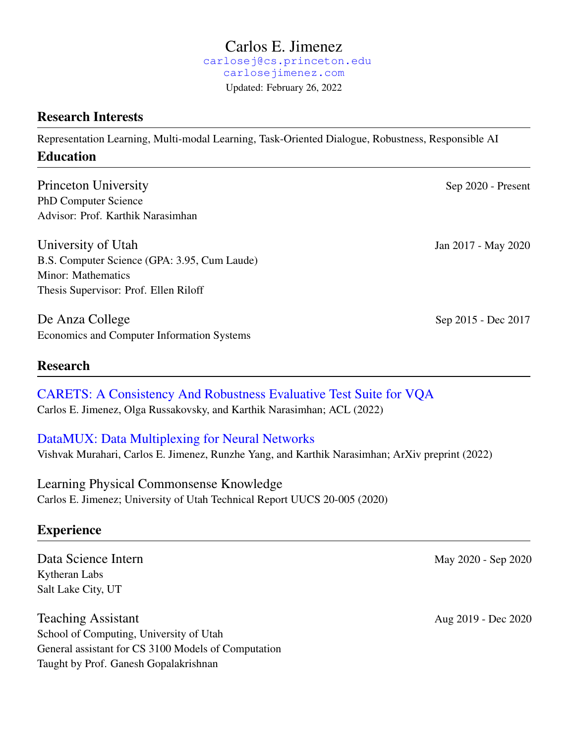#### Carlos E. Jimenez [carlosej@cs.princeton.edu](mailto:carlosej@cs.princeton.edu) [carlosejimenez.com](https://www.carlosejimenez.com) Updated: February 26, 2022

## Research Interests

Representation Learning, Multi-modal Learning, Task-Oriented Dialogue, Robustness, Responsible AI Education

Princeton University Sep 2020 - Present PhD Computer Science Advisor: Prof. Karthik Narasimhan

University of Utah Jan 2017 - May 2020 B.S. Computer Science (GPA: 3.95, Cum Laude) Minor: Mathematics Thesis Supervisor: Prof. Ellen Riloff

De Anza College Sep 2015 - Dec 2017 Economics and Computer Information Systems

#### Research

[CARETS: A Consistency And Robustness Evaluative Test Suite for VQA](http://www.carlosejimenez.com/assets/pdf/carets.pdf) Carlos E. Jimenez, Olga Russakovsky, and Karthik Narasimhan; ACL (2022)

### [DataMUX: Data Multiplexing for Neural Networks](https://arxiv.org/abs/2202.09318)

Vishvak Murahari, Carlos E. Jimenez, Runzhe Yang, and Karthik Narasimhan; ArXiv preprint (2022)

Learning Physical Commonsense Knowledge Carlos E. Jimenez; University of Utah Technical Report UUCS 20-005 (2020)

# **Experience**

Data Science Intern May 2020 - Sep 2020 Kytheran Labs Salt Lake City, UT

Teaching Assistant Aug 2019 - Dec 2020 School of Computing, University of Utah General assistant for CS 3100 Models of Computation Taught by Prof. Ganesh Gopalakrishnan